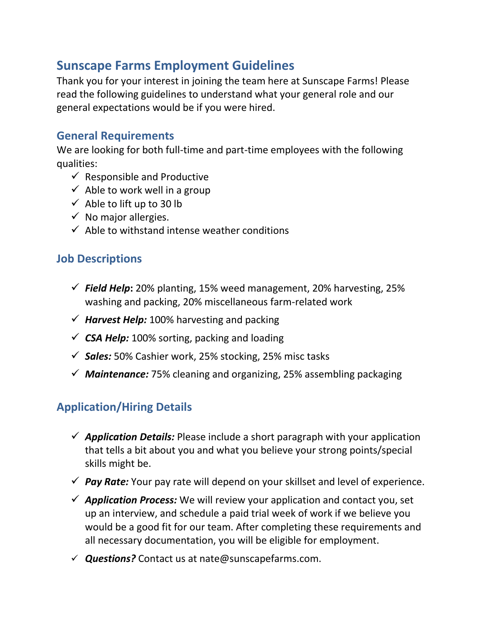# **Sunscape Farms Employment Guidelines**

Thank you for your interest in joining the team here at Sunscape Farms! Please read the following guidelines to understand what your general role and our general expectations would be if you were hired.

#### **General Requirements**

We are looking for both full-time and part-time employees with the following qualities:

- $\checkmark$  Responsible and Productive
- $\checkmark$  Able to work well in a group
- $\checkmark$  Able to lift up to 30 lb
- $\checkmark$  No major allergies.
- $\checkmark$  Able to withstand intense weather conditions

### **Job Descriptions**

- ✓ *Field Help***:** 20% planting, 15% weed management, 20% harvesting, 25% washing and packing, 20% miscellaneous farm-related work
- ✓ *Harvest Help:* 100% harvesting and packing
- $\checkmark$  **CSA Help:** 100% sorting, packing and loading
- ✓ *Sales:* 50% Cashier work, 25% stocking, 25% misc tasks
- ✓ *Maintenance:* 75% cleaning and organizing, 25% assembling packaging

### **Application/Hiring Details**

- ✓ *Application Details:* Please include a short paragraph with your application that tells a bit about you and what you believe your strong points/special skills might be.
- ✓ *Pay Rate:* Your pay rate will depend on your skillset and level of experience.
- ✓ *Application Process:* We will review your application and contact you, set up an interview, and schedule a paid trial week of work if we believe you would be a good fit for our team. After completing these requirements and all necessary documentation, you will be eligible for employment.
- ✓ *Questions?* Contact us at nate@sunscapefarms.com.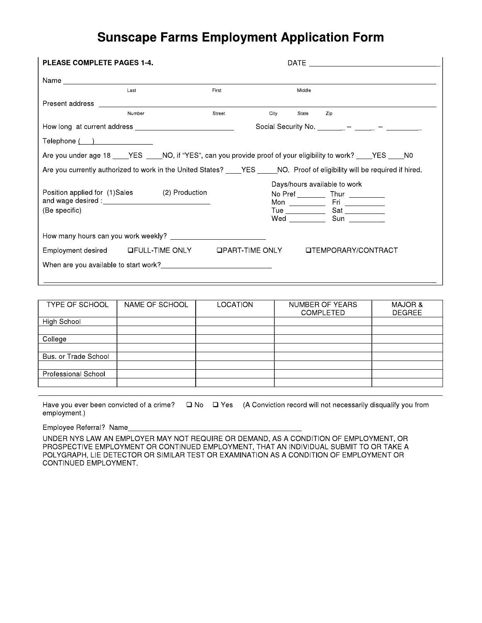## **Sunscape Farms Employment Application Form**

| <b>PLEASE COMPLETE PAGES 1-4.</b>                                                                                                                                                                                                    |                                                                                                                      |        |      |        |                                                |  |  |  |  |
|--------------------------------------------------------------------------------------------------------------------------------------------------------------------------------------------------------------------------------------|----------------------------------------------------------------------------------------------------------------------|--------|------|--------|------------------------------------------------|--|--|--|--|
|                                                                                                                                                                                                                                      |                                                                                                                      |        |      |        |                                                |  |  |  |  |
|                                                                                                                                                                                                                                      | Last                                                                                                                 | First  |      | Middle |                                                |  |  |  |  |
|                                                                                                                                                                                                                                      |                                                                                                                      |        |      |        |                                                |  |  |  |  |
|                                                                                                                                                                                                                                      | Number                                                                                                               | Street | City | State  | Zip                                            |  |  |  |  |
| How long at current address <b>container the set of the set of the set of the set of the set of the set of the set of the set of the set of the set of the set of the set of the set of the set of the set of the set of the set</b> |                                                                                                                      |        |      |        | Social Security No. ________ - _____ - _______ |  |  |  |  |
| $\mathsf{Telephone} \left( \begin{array}{c} \begin{array}{c} \end{array} \right)$                                                                                                                                                    |                                                                                                                      |        |      |        |                                                |  |  |  |  |
|                                                                                                                                                                                                                                      | Are you under age 18 _____YES _____NO, if "YES", can you provide proof of your eligibility to work? _____YES _____NO |        |      |        |                                                |  |  |  |  |
| Are you currently authorized to work in the United States? ____YES _____NO. Proof of eligibility will be required if hired.                                                                                                          |                                                                                                                      |        |      |        |                                                |  |  |  |  |
| Position applied for (1)Sales<br>(Be specific)                                                                                                                                                                                       | (2) Production                                                                                                       |        |      |        | Days/hours available to work                   |  |  |  |  |
|                                                                                                                                                                                                                                      |                                                                                                                      |        |      |        |                                                |  |  |  |  |
| Employment desired LIFULL-TIME ONLY LIPART-TIME ONLY LITEMPORARY/CONTRACT                                                                                                                                                            |                                                                                                                      |        |      |        |                                                |  |  |  |  |
| When are you available to start work?                                                                                                                                                                                                |                                                                                                                      |        |      |        |                                                |  |  |  |  |
|                                                                                                                                                                                                                                      |                                                                                                                      |        |      |        |                                                |  |  |  |  |

| TYPE OF SCHOOL             | NAME OF SCHOOL | <b>LOCATION</b> | NUMBER OF YEARS<br><b>COMPLETED</b> | MAJOR &<br><b>DEGREE</b> |
|----------------------------|----------------|-----------------|-------------------------------------|--------------------------|
| High School                |                |                 |                                     |                          |
|                            |                |                 |                                     |                          |
| College                    |                |                 |                                     |                          |
|                            |                |                 |                                     |                          |
| Bus. or Trade School       |                |                 |                                     |                          |
|                            |                |                 |                                     |                          |
| <b>Professional School</b> |                |                 |                                     |                          |
|                            |                |                 |                                     |                          |

Have you ever been convicted of a crime?  $\Box$  No  $\Box$  Yes (A Conviction record will not necessarily disqualify you from employment.)

Employee Referral? Name\_

UNDER NYS LAW AN EMPLOYER MAY NOT REQUIRE OR DEMAND, AS A CONDITION OF EMPLOYMENT, OR PROSPECTIVE EMPLOYMENT OR CONTINUED EMPLOYMENT, THAT AN INDIVIDUAL SUBMIT TO OR TAKE A POLYGRAPH, LIE DETECTOR OR SIMILAR TEST OR EXAMINATION AS A CONDITION OF EMPLOYMENT OR CONTINUED EMPLOYMENT.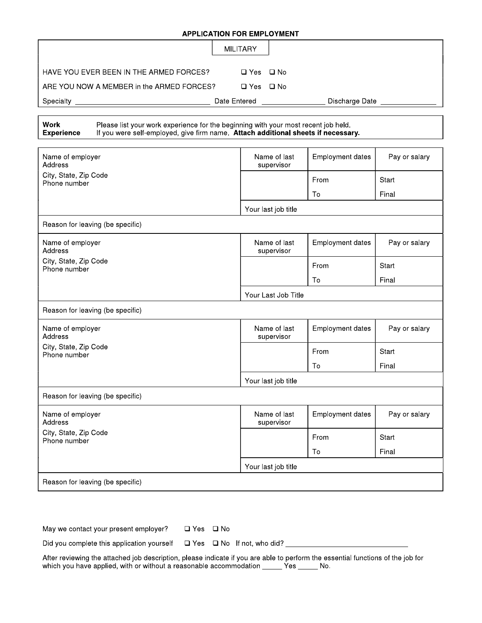#### **APPLICATION FOR EMPLOYMENT**

|                                           | MILITARY     |                |
|-------------------------------------------|--------------|----------------|
| HAVE YOU EVER BEEN IN THE ARMED FORCES?   | □ Yes □ No   |                |
| ARE YOU NOW A MEMBER in the ARMED FORCES? | □ Yes □ No   |                |
| Specialty                                 | Date Entered | Discharge Date |

| Work              |  |
|-------------------|--|
| <b>Experience</b> |  |

Please list your work experience for the beginning with your most recent job held.<br>If you were self-employed, give firm name. Attach additional sheets if necessary.

| Name of employer<br>Address           | Name of last<br>supervisor | Employment dates | Pay or salary |  |  |  |  |  |
|---------------------------------------|----------------------------|------------------|---------------|--|--|--|--|--|
| City, State, Zip Code<br>Phone number |                            | From             | <b>Start</b>  |  |  |  |  |  |
|                                       |                            | To               | Final         |  |  |  |  |  |
|                                       | Your last job title        |                  |               |  |  |  |  |  |
| Reason for leaving (be specific)      |                            |                  |               |  |  |  |  |  |
| Name of employer<br>Address           | Name of last<br>supervisor | Employment dates | Pay or salary |  |  |  |  |  |
| City, State, Zip Code<br>Phone number |                            | From             | Start         |  |  |  |  |  |
|                                       |                            | Тο               | Final         |  |  |  |  |  |
|                                       | Your Last Job Title        |                  |               |  |  |  |  |  |
| Reason for leaving (be specific)      |                            |                  |               |  |  |  |  |  |
| Name of employer<br>Address           | Name of last<br>supervisor | Employment dates | Pay or salary |  |  |  |  |  |
| City, State, Zip Code<br>Phone number |                            | From             | Start         |  |  |  |  |  |
|                                       |                            | To               | Final         |  |  |  |  |  |
|                                       | Your last job title        |                  |               |  |  |  |  |  |
| Reason for leaving (be specific)      |                            |                  |               |  |  |  |  |  |
| Name of employer<br>Address           | Name of last<br>supervisor | Employment dates | Pay or salary |  |  |  |  |  |
| City, State, Zip Code<br>Phone number |                            | From             | Start         |  |  |  |  |  |
|                                       |                            | To               | Final         |  |  |  |  |  |
|                                       | Your last job title        |                  |               |  |  |  |  |  |
| Reason for leaving (be specific)      |                            |                  |               |  |  |  |  |  |

| May we contact your present employer? | □ Yes □ No |  |
|---------------------------------------|------------|--|
|---------------------------------------|------------|--|

Did you complete this application yourself  $\Box$  Yes  $\Box$  No If not, who did?

After reviewing the attached job description, please indicate if you are able to perform the essential functions of the job for which you have applied, with or without a reasonable accommodation \_\_\_\_\_\_\_\_\_\_\_\_\_\_\_\_\_\_\_\_\_\_\_\_\_\_\_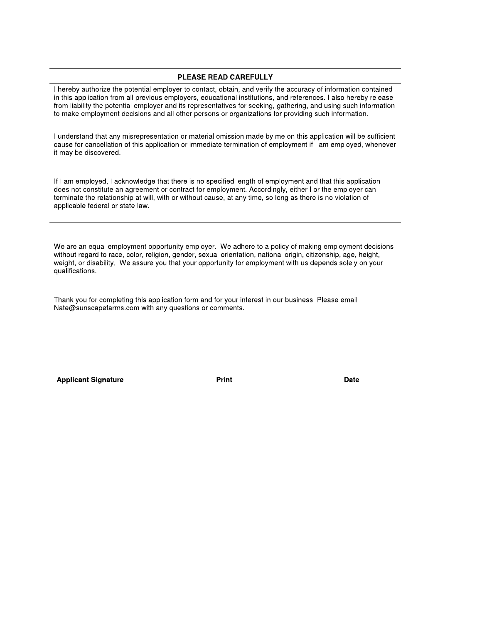#### **PLEASE READ CAREFULLY**

I hereby authorize the potential employer to contact, obtain, and verify the accuracy of information contained in this application from all previous employers, educational institutions, and references. I also hereby release from liability the potential employer and its representatives for seeking, gathering, and using such information to make employment decisions and all other persons or organizations for providing such information.

I understand that any misrepresentation or material omission made by me on this application will be sufficient cause for cancellation of this application or immediate termination of employment if I am employed, whenever it may be discovered.

If I am employed, I acknowledge that there is no specified length of employment and that this application does not constitute an agreement or contract for employment. Accordingly, either I or the employer can terminate the relationship at will, with or without cause, at any time, so long as there is no violation of applicable federal or state law.

We are an equal employment opportunity employer. We adhere to a policy of making employment decisions without regard to race, color, religion, gender, sexual orientation, national origin, citizenship, age, height, weight, or disability. We assure you that your opportunity for employment with us depends solely on your qualifications.

Thank you for completing this application form and for your interest in our business. Please email Nate@sunscapefarms.com with any questions or comments.

**Applicant Signature** 

**Print** 

**Date**